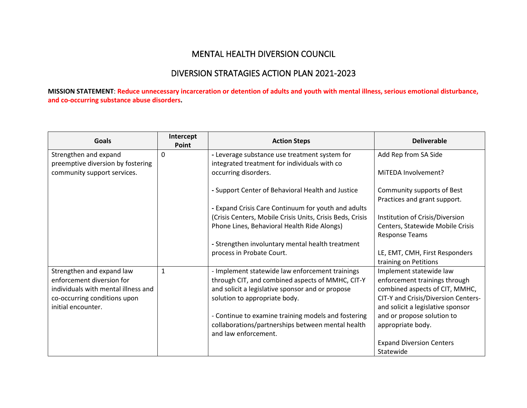## MENTAL HEALTH DIVERSION COUNCIL

## DIVERSION STRATAGIES ACTION PLAN 2021-2023

**MISSION STATEMENT**: **Reduce unnecessary incarceration or detention of adults and youth with mental illness, serious emotional disturbance, and co-occurring substance abuse disorders.** 

| <b>Goals</b>                        | Intercept<br>Point | <b>Action Steps</b>                                       | <b>Deliverable</b>                                        |
|-------------------------------------|--------------------|-----------------------------------------------------------|-----------------------------------------------------------|
| Strengthen and expand               | 0                  | - Leverage substance use treatment system for             | Add Rep from SA Side                                      |
| preemptive diversion by fostering   |                    | integrated treatment for individuals with co              |                                                           |
| community support services.         |                    | occurring disorders.                                      | MITEDA Involvement?                                       |
|                                     |                    | - Support Center of Behavioral Health and Justice         | Community supports of Best                                |
|                                     |                    |                                                           | Practices and grant support.                              |
|                                     |                    | - Expand Crisis Care Continuum for youth and adults       |                                                           |
|                                     |                    | (Crisis Centers, Mobile Crisis Units, Crisis Beds, Crisis | Institution of Crisis/Diversion                           |
|                                     |                    | Phone Lines, Behavioral Health Ride Alongs)               | Centers, Statewide Mobile Crisis<br><b>Response Teams</b> |
|                                     |                    | - Strengthen involuntary mental health treatment          |                                                           |
|                                     |                    | process in Probate Court.                                 | LE, EMT, CMH, First Responders                            |
|                                     |                    |                                                           | training on Petitions                                     |
| Strengthen and expand law           | $\mathbf{1}$       | - Implement statewide law enforcement trainings           | Implement statewide law                                   |
| enforcement diversion for           |                    | through CIT, and combined aspects of MMHC, CIT-Y          | enforcement trainings through                             |
| individuals with mental illness and |                    | and solicit a legislative sponsor and or propose          | combined aspects of CIT, MMHC,                            |
| co-occurring conditions upon        |                    | solution to appropriate body.                             | CIT-Y and Crisis/Diversion Centers-                       |
| initial encounter.                  |                    |                                                           | and solicit a legislative sponsor                         |
|                                     |                    | - Continue to examine training models and fostering       | and or propose solution to                                |
|                                     |                    | collaborations/partnerships between mental health         | appropriate body.                                         |
|                                     |                    | and law enforcement.                                      |                                                           |
|                                     |                    |                                                           | <b>Expand Diversion Centers</b>                           |
|                                     |                    |                                                           | Statewide                                                 |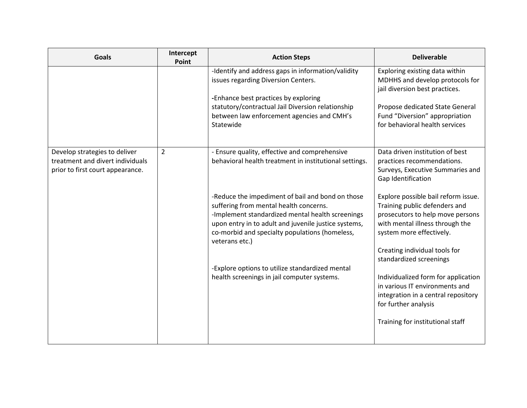| <b>Goals</b>                                                                                          | Intercept<br>Point | <b>Action Steps</b>                                                                                                                                                                                                                                                        | <b>Deliverable</b>                                                                                                                                                      |
|-------------------------------------------------------------------------------------------------------|--------------------|----------------------------------------------------------------------------------------------------------------------------------------------------------------------------------------------------------------------------------------------------------------------------|-------------------------------------------------------------------------------------------------------------------------------------------------------------------------|
|                                                                                                       |                    | -Identify and address gaps in information/validity<br>issues regarding Diversion Centers.<br>-Enhance best practices by exploring<br>statutory/contractual Jail Diversion relationship                                                                                     | Exploring existing data within<br>MDHHS and develop protocols for<br>jail diversion best practices.<br>Propose dedicated State General                                  |
|                                                                                                       |                    | between law enforcement agencies and CMH's<br>Statewide                                                                                                                                                                                                                    | Fund "Diversion" appropriation<br>for behavioral health services                                                                                                        |
| Develop strategies to deliver<br>treatment and divert individuals<br>prior to first court appearance. | $\overline{2}$     | - Ensure quality, effective and comprehensive<br>behavioral health treatment in institutional settings.                                                                                                                                                                    | Data driven institution of best<br>practices recommendations.<br>Surveys, Executive Summaries and<br>Gap Identification                                                 |
|                                                                                                       |                    | -Reduce the impediment of bail and bond on those<br>suffering from mental health concerns.<br>-Implement standardized mental health screenings<br>upon entry in to adult and juvenile justice systems,<br>co-morbid and specialty populations (homeless,<br>veterans etc.) | Explore possible bail reform issue.<br>Training public defenders and<br>prosecutors to help move persons<br>with mental illness through the<br>system more effectively. |
|                                                                                                       |                    | -Explore options to utilize standardized mental                                                                                                                                                                                                                            | Creating individual tools for<br>standardized screenings                                                                                                                |
|                                                                                                       |                    | health screenings in jail computer systems.                                                                                                                                                                                                                                | Individualized form for application<br>in various IT environments and<br>integration in a central repository<br>for further analysis                                    |
|                                                                                                       |                    |                                                                                                                                                                                                                                                                            | Training for institutional staff                                                                                                                                        |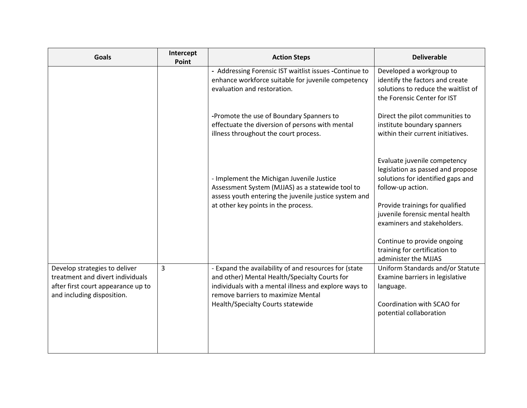| <b>Goals</b>                                                                                                                          | Intercept<br>Point | <b>Action Steps</b>                                                                                                                                                                                                                        | <b>Deliverable</b>                                                                                                                                                                                                               |
|---------------------------------------------------------------------------------------------------------------------------------------|--------------------|--------------------------------------------------------------------------------------------------------------------------------------------------------------------------------------------------------------------------------------------|----------------------------------------------------------------------------------------------------------------------------------------------------------------------------------------------------------------------------------|
|                                                                                                                                       |                    | - Addressing Forensic IST waitlist issues -Continue to<br>enhance workforce suitable for juvenile competency<br>evaluation and restoration.                                                                                                | Developed a workgroup to<br>identify the factors and create<br>solutions to reduce the waitlist of<br>the Forensic Center for IST                                                                                                |
|                                                                                                                                       |                    | -Promote the use of Boundary Spanners to<br>effectuate the diversion of persons with mental<br>illness throughout the court process.                                                                                                       | Direct the pilot communities to<br>institute boundary spanners<br>within their current initiatives.                                                                                                                              |
|                                                                                                                                       |                    | - Implement the Michigan Juvenile Justice<br>Assessment System (MJJAS) as a statewide tool to<br>assess youth entering the juvenile justice system and<br>at other key points in the process.                                              | Evaluate juvenile competency<br>legislation as passed and propose<br>solutions for identified gaps and<br>follow-up action.<br>Provide trainings for qualified<br>juvenile forensic mental health<br>examiners and stakeholders. |
|                                                                                                                                       |                    |                                                                                                                                                                                                                                            | Continue to provide ongoing<br>training for certification to<br>administer the MJJAS                                                                                                                                             |
| Develop strategies to deliver<br>treatment and divert individuals<br>after first court appearance up to<br>and including disposition. | 3                  | - Expand the availability of and resources for (state<br>and other) Mental Health/Specialty Courts for<br>individuals with a mental illness and explore ways to<br>remove barriers to maximize Mental<br>Health/Specialty Courts statewide | Uniform Standards and/or Statute<br>Examine barriers in legislative<br>language.<br>Coordination with SCAO for<br>potential collaboration                                                                                        |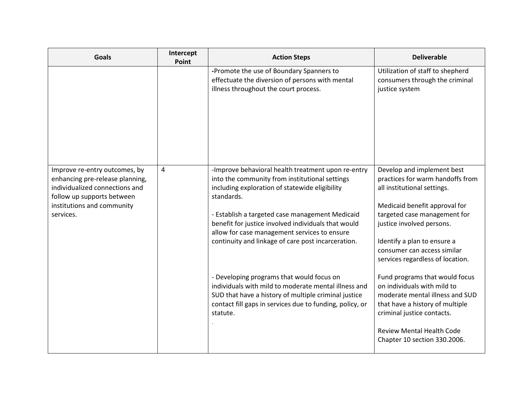| <b>Goals</b>                                                                                                                                                                | Intercept<br>Point | <b>Action Steps</b>                                                                                                                                                                                                                                                                                                                                                                  | <b>Deliverable</b>                                                                                                                                                                                                                                                                            |
|-----------------------------------------------------------------------------------------------------------------------------------------------------------------------------|--------------------|--------------------------------------------------------------------------------------------------------------------------------------------------------------------------------------------------------------------------------------------------------------------------------------------------------------------------------------------------------------------------------------|-----------------------------------------------------------------------------------------------------------------------------------------------------------------------------------------------------------------------------------------------------------------------------------------------|
|                                                                                                                                                                             |                    | -Promote the use of Boundary Spanners to<br>effectuate the diversion of persons with mental<br>illness throughout the court process.                                                                                                                                                                                                                                                 | Utilization of staff to shepherd<br>consumers through the criminal<br>justice system                                                                                                                                                                                                          |
| Improve re-entry outcomes, by<br>enhancing pre-release planning,<br>individualized connections and<br>follow up supports between<br>institutions and community<br>services. | 4                  | -Improve behavioral health treatment upon re-entry<br>into the community from institutional settings<br>including exploration of statewide eligibility<br>standards.<br>- Establish a targeted case management Medicaid<br>benefit for justice involved individuals that would<br>allow for case management services to ensure<br>continuity and linkage of care post incarceration. | Develop and implement best<br>practices for warm handoffs from<br>all institutional settings.<br>Medicaid benefit approval for<br>targeted case management for<br>justice involved persons.<br>Identify a plan to ensure a<br>consumer can access similar<br>services regardless of location. |
|                                                                                                                                                                             |                    | - Developing programs that would focus on<br>individuals with mild to moderate mental illness and<br>SUD that have a history of multiple criminal justice<br>contact fill gaps in services due to funding, policy, or<br>statute.                                                                                                                                                    | Fund programs that would focus<br>on individuals with mild to<br>moderate mental illness and SUD<br>that have a history of multiple<br>criminal justice contacts.<br><b>Review Mental Health Code</b><br>Chapter 10 section 330.2006.                                                         |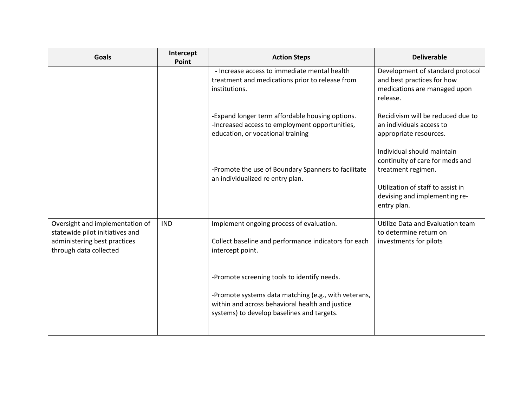| <b>Goals</b>                                                                                                                 | Intercept<br>Point | <b>Action Steps</b>                                                                                                                                                                                  | <b>Deliverable</b>                                                                                                                                                       |
|------------------------------------------------------------------------------------------------------------------------------|--------------------|------------------------------------------------------------------------------------------------------------------------------------------------------------------------------------------------------|--------------------------------------------------------------------------------------------------------------------------------------------------------------------------|
|                                                                                                                              |                    | - Increase access to immediate mental health<br>treatment and medications prior to release from<br>institutions.                                                                                     | Development of standard protocol<br>and best practices for how<br>medications are managed upon<br>release.                                                               |
|                                                                                                                              |                    | -Expand longer term affordable housing options.<br>-Increased access to employment opportunities,<br>education, or vocational training                                                               | Recidivism will be reduced due to<br>an individuals access to<br>appropriate resources.                                                                                  |
|                                                                                                                              |                    | -Promote the use of Boundary Spanners to facilitate<br>an individualized re entry plan.                                                                                                              | Individual should maintain<br>continuity of care for meds and<br>treatment regimen.<br>Utilization of staff to assist in<br>devising and implementing re-<br>entry plan. |
| Oversight and implementation of<br>statewide pilot initiatives and<br>administering best practices<br>through data collected | <b>IND</b>         | Implement ongoing process of evaluation.<br>Collect baseline and performance indicators for each<br>intercept point.                                                                                 | Utilize Data and Evaluation team<br>to determine return on<br>investments for pilots                                                                                     |
|                                                                                                                              |                    | -Promote screening tools to identify needs.<br>-Promote systems data matching (e.g., with veterans,<br>within and across behavioral health and justice<br>systems) to develop baselines and targets. |                                                                                                                                                                          |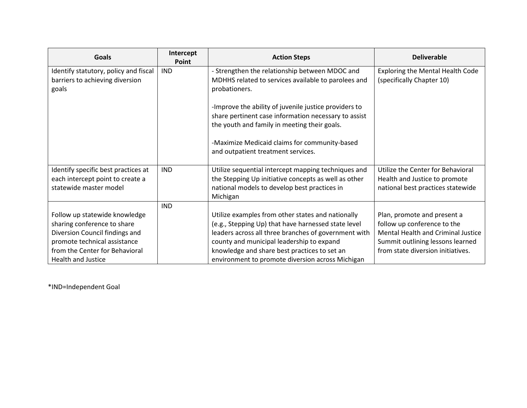| <b>Goals</b>                                                                                                                   | Intercept<br>Point | <b>Action Steps</b>                                                                                                                                                                                           | <b>Deliverable</b>                                                                                                                   |
|--------------------------------------------------------------------------------------------------------------------------------|--------------------|---------------------------------------------------------------------------------------------------------------------------------------------------------------------------------------------------------------|--------------------------------------------------------------------------------------------------------------------------------------|
| Identify statutory, policy and fiscal                                                                                          | <b>IND</b>         | - Strengthen the relationship between MDOC and                                                                                                                                                                | <b>Exploring the Mental Health Code</b>                                                                                              |
| barriers to achieving diversion<br>goals                                                                                       |                    | MDHHS related to services available to parolees and<br>probationers.                                                                                                                                          | (specifically Chapter 10)                                                                                                            |
|                                                                                                                                |                    | -Improve the ability of juvenile justice providers to<br>share pertinent case information necessary to assist                                                                                                 |                                                                                                                                      |
|                                                                                                                                |                    | the youth and family in meeting their goals.                                                                                                                                                                  |                                                                                                                                      |
|                                                                                                                                |                    | -Maximize Medicaid claims for community-based<br>and outpatient treatment services.                                                                                                                           |                                                                                                                                      |
| Identify specific best practices at                                                                                            | <b>IND</b>         | Utilize sequential intercept mapping techniques and                                                                                                                                                           | Utilize the Center for Behavioral                                                                                                    |
| each intercept point to create a<br>statewide master model                                                                     |                    | the Stepping Up initiative concepts as well as other<br>national models to develop best practices in                                                                                                          | Health and Justice to promote<br>national best practices statewide                                                                   |
|                                                                                                                                | <b>IND</b>         | Michigan                                                                                                                                                                                                      |                                                                                                                                      |
| Follow up statewide knowledge<br>sharing conference to share<br>Diversion Council findings and<br>promote technical assistance |                    | Utilize examples from other states and nationally<br>(e.g., Stepping Up) that have harnessed state level<br>leaders across all three branches of government with<br>county and municipal leadership to expand | Plan, promote and present a<br>follow up conference to the<br>Mental Health and Criminal Justice<br>Summit outlining lessons learned |
| from the Center for Behavioral<br>Health and Justice                                                                           |                    | knowledge and share best practices to set an<br>environment to promote diversion across Michigan                                                                                                              | from state diversion initiatives.                                                                                                    |

\*IND=Independent Goal